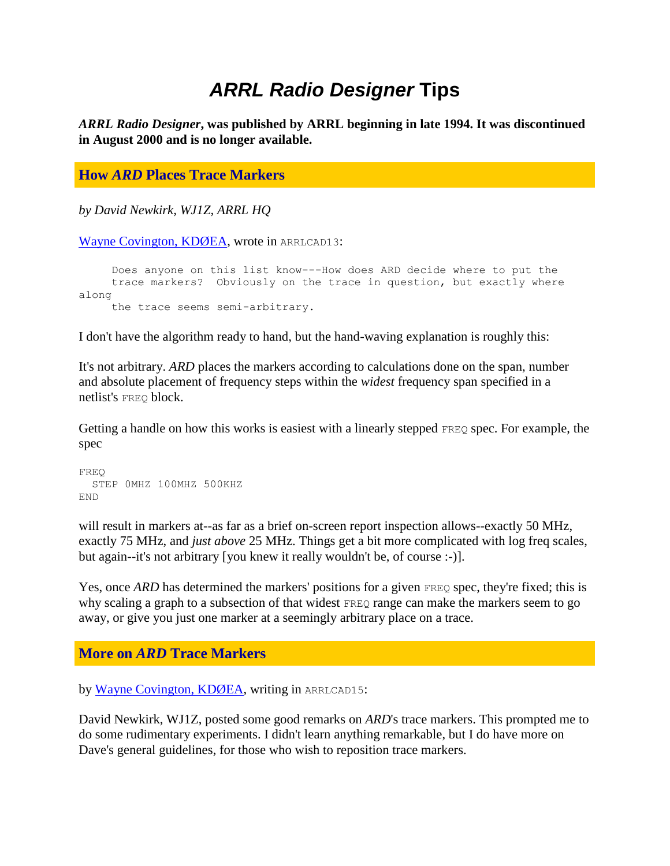## *ARRL Radio Designer* **Tips**

*ARRL Radio Designer***, was published by ARRL beginning in late 1994. It was discontinued in August 2000 and is no longer available.** 

## **How** *ARD* **Places Trace Markers**

*by David Newkirk, WJ1Z, ARRL HQ*

[Wayne Covington, KDØEA,](mailto:wayne@hpccqd.fc.hp.com) wrote in ARRLCAD13:

 Does anyone on this list know---How does ARD decide where to put the trace markers? Obviously on the trace in question, but exactly where along the trace seems semi-arbitrary.

I don't have the algorithm ready to hand, but the hand-waving explanation is roughly this:

It's not arbitrary. *ARD* places the markers according to calculations done on the span, number and absolute placement of frequency steps within the *widest* frequency span specified in a netlist's FREQ block.

Getting a handle on how this works is easiest with a linearly stepped FREQ spec. For example, the spec

```
FREQ
  STEP 0MHZ 100MHZ 500KHZ
END
```
will result in markers at--as far as a brief on-screen report inspection allows--exactly 50 MHz, exactly 75 MHz, and *just above* 25 MHz. Things get a bit more complicated with log freq scales, but again--it's not arbitrary [you knew it really wouldn't be, of course :-)].

Yes, once *ARD* has determined the markers' positions for a given FREQ spec, they're fixed; this is why scaling a graph to a subsection of that widest FREQ range can make the markers seem to go away, or give you just one marker at a seemingly arbitrary place on a trace.

## **More on** *ARD* **Trace Markers**

by [Wayne Covington, KDØEA,](mailto:wayne@fc.hp.com) writing in ARRLCAD15:

David Newkirk, WJ1Z, posted some good remarks on *ARD*'s trace markers. This prompted me to do some rudimentary experiments. I didn't learn anything remarkable, but I do have more on Dave's general guidelines, for those who wish to reposition trace markers.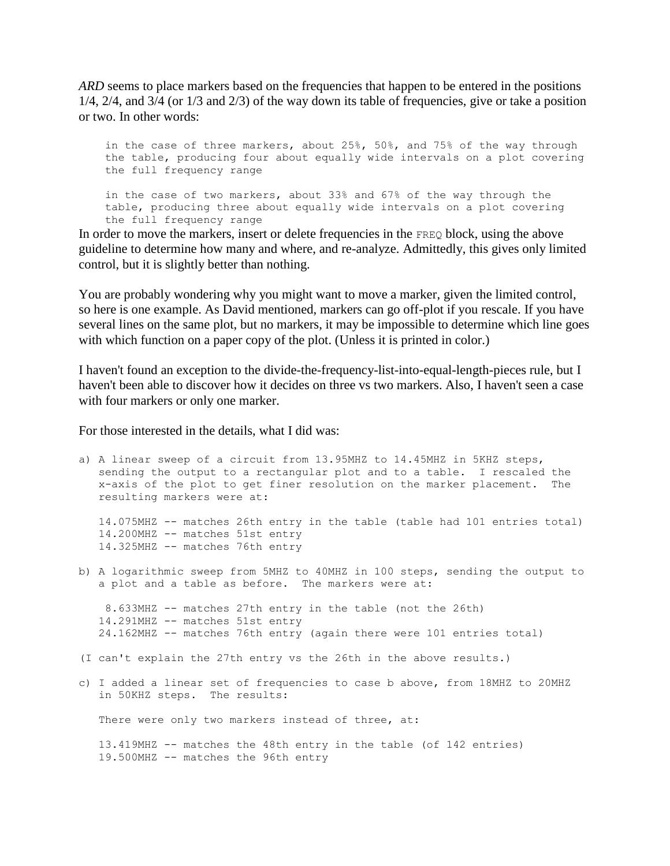*ARD* seems to place markers based on the frequencies that happen to be entered in the positions 1/4, 2/4, and 3/4 (or 1/3 and 2/3) of the way down its table of frequencies, give or take a position or two. In other words:

 in the case of three markers, about 25%, 50%, and 75% of the way through the table, producing four about equally wide intervals on a plot covering the full frequency range in the case of two markers, about 33% and 67% of the way through the table, producing three about equally wide intervals on a plot covering

the full frequency range

In order to move the markers, insert or delete frequencies in the FREQ block, using the above guideline to determine how many and where, and re-analyze. Admittedly, this gives only limited control, but it is slightly better than nothing.

You are probably wondering why you might want to move a marker, given the limited control, so here is one example. As David mentioned, markers can go off-plot if you rescale. If you have several lines on the same plot, but no markers, it may be impossible to determine which line goes with which function on a paper copy of the plot. (Unless it is printed in color.)

I haven't found an exception to the divide-the-frequency-list-into-equal-length-pieces rule, but I haven't been able to discover how it decides on three vs two markers. Also, I haven't seen a case with four markers or only one marker.

For those interested in the details, what I did was:

```
a) A linear sweep of a circuit from 13.95MHZ to 14.45MHZ in 5KHZ steps,
    sending the output to a rectangular plot and to a table. I rescaled the
    x-axis of the plot to get finer resolution on the marker placement. The
   resulting markers were at:
   14.075MHZ -- matches 26th entry in the table (table had 101 entries total)
   14.200MHZ -- matches 51st entry
   14.325MHZ -- matches 76th entry
b) A logarithmic sweep from 5MHZ to 40MHZ in 100 steps, sending the output to
    a plot and a table as before. The markers were at:
    8.633MHZ -- matches 27th entry in the table (not the 26th)
    14.291MHZ -- matches 51st entry
    24.162MHZ -- matches 76th entry (again there were 101 entries total)
(I can't explain the 27th entry vs the 26th in the above results.)
c) I added a linear set of frequencies to case b above, from 18MHZ to 20MHZ
    in 50KHZ steps. The results:
   There were only two markers instead of three, at:
    13.419MHZ -- matches the 48th entry in the table (of 142 entries)
    19.500MHZ -- matches the 96th entry
```